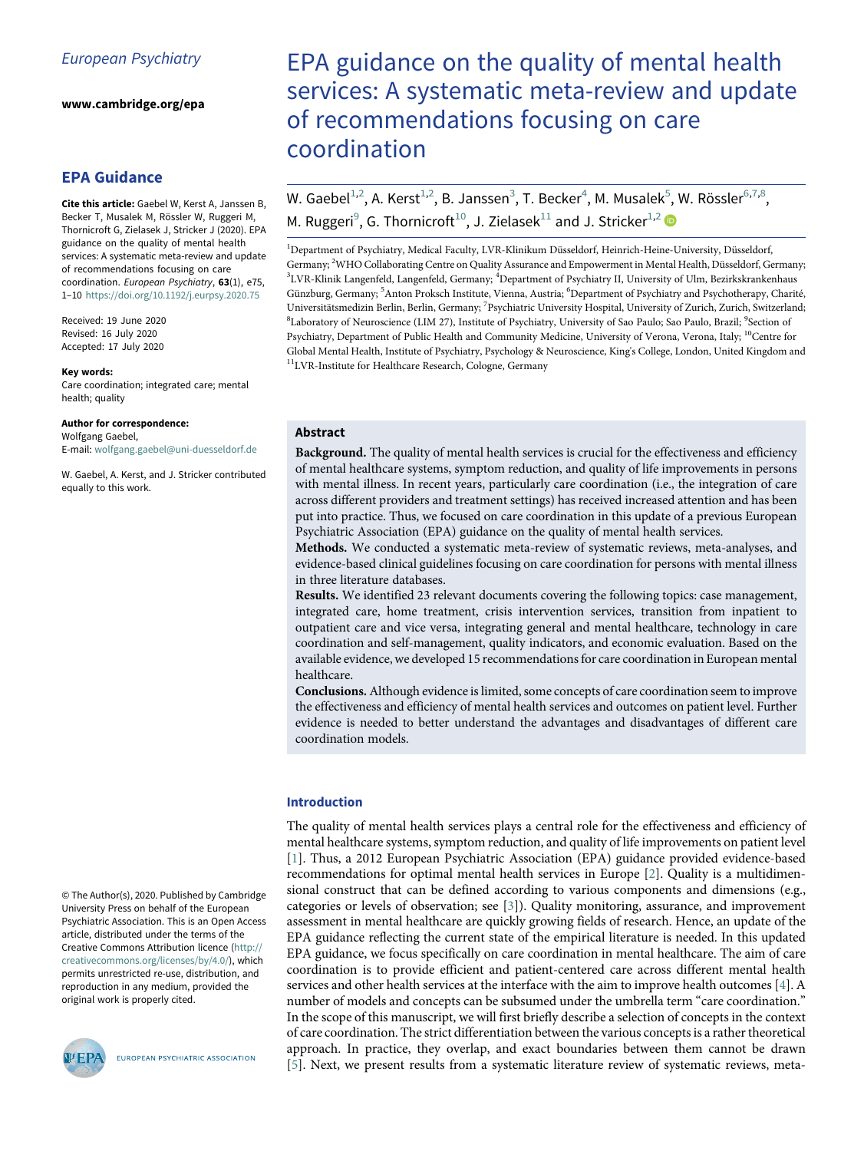www.cambridge.org/epa

# EPA Guidance

<span id="page-0-1"></span><span id="page-0-0"></span>Cite this article: Gaebel W, Kerst A, Janssen B, Becker T, Musalek M, Rössler W, Ruggeri M, Thornicroft G, Zielasek J, Stricker J (2020). EPA guidance on the quality of mental health services: A systematic meta-review and update of recommendations focusing on care coordination. European Psychiatry, 63(1), e75, 1–10 <https://doi.org/10.1192/j.eurpsy.2020.75>

<span id="page-0-7"></span><span id="page-0-6"></span><span id="page-0-5"></span><span id="page-0-4"></span><span id="page-0-3"></span><span id="page-0-2"></span>Received: 19 June 2020 Revised: 16 July 2020 Accepted: 17 July 2020

#### Key words:

Care coordination; integrated care; mental health; quality

#### Author for correspondence:

Wolfgang Gaebel, E-mail: [wolfgang.gaebel@uni-duesseldorf.de](mailto:wolfgang.gaebel@uni-duesseldorf.de)

W. Gaebel, A. Kerst, and J. Stricker contributed equally to this work.

#### © The Author(s), 2020. Published by Cambridge University Press on behalf of the European Psychiatric Association. This is an Open Access article, distributed under the terms of the Creative Commons Attribution licence [\(http://](http://creativecommons.org/licenses/by/4.0/) [creativecommons.org/licenses/by/4.0/\)](http://creativecommons.org/licenses/by/4.0/), which permits unrestricted re-use, distribution, and reproduction in any medium, provided the original work is properly cited.



EUROPEAN PSYCHIATRIC ASSOCIATION

# EPA guidance on the quality of mental health services: A systematic meta-review and update of recommendations focusing on care coordination

W. Gaebel $^{1,2}$  $^{1,2}$  $^{1,2}$  $^{1,2}$ , A. Kerst $^{1,2}$ , B. Janssen $^3$  $^3$ , T. Becker $^4$  $^4$ , M. Musalek $^5$  $^5$ , W. Rössler $^{6,7,8}$  $^{6,7,8}$  $^{6,7,8}$  $^{6,7,8}$ , M. Ruggeri<sup>[9](#page-0-5)</sup>, G. Thornicroft<sup>[10](#page-0-6)</sup>, J. Zielasek<sup>[11](#page-0-7)</sup> and J. Stricker<sup>[1](#page-0-0)[,2](#page-0-1)</sup>

<sup>1</sup>Department of Psychiatry, Medical Faculty, LVR-Klinikum Düsseldorf, Heinrich-Heine-University, Düsseldorf, Germany; <sup>2</sup> WHO Collaborating Centre on Quality Assurance and Empowerment in Mental Health, Düsseldorf, Germany; <sup>3</sup>LVR-Klinik Langenfeld, Langenfeld, Germany; <sup>4</sup>Department of Psychiatry II, University of Ulm, Bezirkskrankenhaus Günzburg, Germany; <sup>5</sup>Anton Proksch Institute, Vienna, Austria; <sup>6</sup>Department of Psychiatry and Psychotherapy, Charité, Universitätsmedizin Berlin, Berlin, Germany; <sup>7</sup>Psychiatric University Hospital, University of Zurich, Zurich, Switzerland; <sup>8</sup>Laboratory of Neuroscience (LIM 27), Institute of Psychiatry, University of Sao Paulo; Sao Paulo, Brazil; <sup>9</sup>Section of Psychiatry, Department of Public Health and Community Medicine, University of Verona, Verona, Italy; <sup>10</sup>Centre for Global Mental Health, Institute of Psychiatry, Psychology & Neuroscience, King's College, London, United Kingdom and 11LVR-Institute for Healthcare Research, Cologne, Germany

## Abstract

Background. The quality of mental health services is crucial for the effectiveness and efficiency of mental healthcare systems, symptom reduction, and quality of life improvements in persons with mental illness. In recent years, particularly care coordination (i.e., the integration of care across different providers and treatment settings) has received increased attention and has been put into practice. Thus, we focused on care coordination in this update of a previous European Psychiatric Association (EPA) guidance on the quality of mental health services.

Methods. We conducted a systematic meta-review of systematic reviews, meta-analyses, and evidence-based clinical guidelines focusing on care coordination for persons with mental illness in three literature databases.

Results. We identified 23 relevant documents covering the following topics: case management, integrated care, home treatment, crisis intervention services, transition from inpatient to outpatient care and vice versa, integrating general and mental healthcare, technology in care coordination and self-management, quality indicators, and economic evaluation. Based on the available evidence, we developed 15 recommendations for care coordination in European mental healthcare.

Conclusions.Although evidence is limited, some concepts of care coordination seem to improve the effectiveness and efficiency of mental health services and outcomes on patient level. Further evidence is needed to better understand the advantages and disadvantages of different care coordination models.

## Introduction

The quality of mental health services plays a central role for the effectiveness and efficiency of mental healthcare systems, symptom reduction, and quality of life improvements on patient level [[1\]](#page-8-0). Thus, a 2012 European Psychiatric Association (EPA) guidance provided evidence-based recommendations for optimal mental health services in Europe [\[2\]](#page-8-1). Quality is a multidimensional construct that can be defined according to various components and dimensions (e.g., categories or levels of observation; see [\[3\]](#page-8-2)). Quality monitoring, assurance, and improvement assessment in mental healthcare are quickly growing fields of research. Hence, an update of the EPA guidance reflecting the current state of the empirical literature is needed. In this updated EPA guidance, we focus specifically on care coordination in mental healthcare. The aim of care coordination is to provide efficient and patient-centered care across different mental health services and other health services at the interface with the aim to improve health outcomes [\[4\]](#page-8-3). A number of models and concepts can be subsumed under the umbrella term "care coordination." In the scope of this manuscript, we will first briefly describe a selection of concepts in the context of care coordination. The strict differentiation between the various concepts is a rather theoretical approach. In practice, they overlap, and exact boundaries between them cannot be drawn [[5\]](#page-8-4). Next, we present results from a systematic literature review of systematic reviews, meta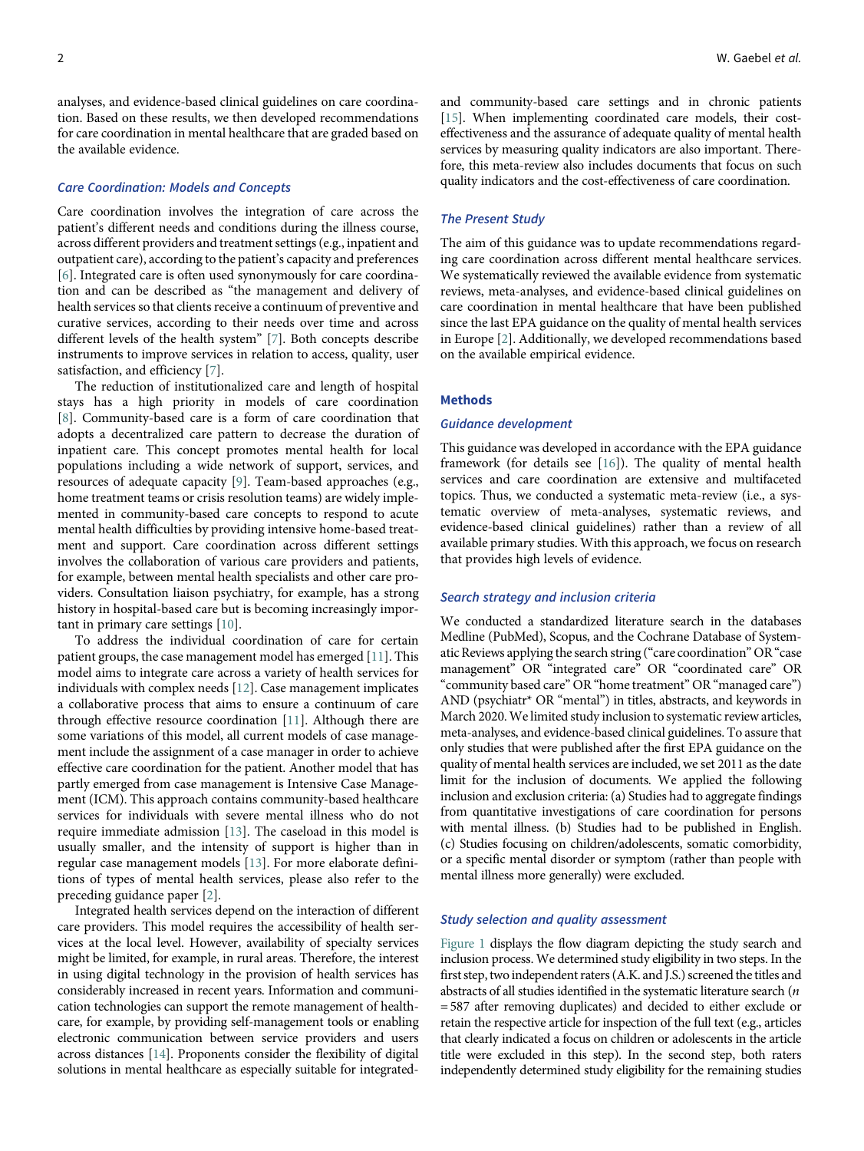analyses, and evidence-based clinical guidelines on care coordination. Based on these results, we then developed recommendations for care coordination in mental healthcare that are graded based on the available evidence.

## Care Coordination: Models and Concepts

Care coordination involves the integration of care across the patient's different needs and conditions during the illness course, across different providers and treatment settings (e.g., inpatient and outpatient care), according to the patient's capacity and preferences [[6](#page-8-5)]. Integrated care is often used synonymously for care coordination and can be described as "the management and delivery of health services so that clients receive a continuum of preventive and curative services, according to their needs over time and across different levels of the health system" [\[7\]](#page-8-6). Both concepts describe instruments to improve services in relation to access, quality, user satisfaction, and efficiency [[7](#page-8-6)].

The reduction of institutionalized care and length of hospital stays has a high priority in models of care coordination [[8](#page-8-7)]. Community-based care is a form of care coordination that adopts a decentralized care pattern to decrease the duration of inpatient care. This concept promotes mental health for local populations including a wide network of support, services, and resources of adequate capacity [[9](#page-8-8)]. Team-based approaches (e.g., home treatment teams or crisis resolution teams) are widely implemented in community-based care concepts to respond to acute mental health difficulties by providing intensive home-based treatment and support. Care coordination across different settings involves the collaboration of various care providers and patients, for example, between mental health specialists and other care providers. Consultation liaison psychiatry, for example, has a strong history in hospital-based care but is becoming increasingly important in primary care settings [\[10](#page-8-9)].

To address the individual coordination of care for certain patient groups, the case management model has emerged [[11\]](#page-8-10). This model aims to integrate care across a variety of health services for individuals with complex needs [\[12](#page-8-11)]. Case management implicates a collaborative process that aims to ensure a continuum of care through effective resource coordination [[11](#page-8-10)]. Although there are some variations of this model, all current models of case management include the assignment of a case manager in order to achieve effective care coordination for the patient. Another model that has partly emerged from case management is Intensive Case Management (ICM). This approach contains community-based healthcare services for individuals with severe mental illness who do not require immediate admission [\[13](#page-8-12)]. The caseload in this model is usually smaller, and the intensity of support is higher than in regular case management models [[13\]](#page-8-12). For more elaborate definitions of types of mental health services, please also refer to the preceding guidance paper [[2](#page-8-1)].

Integrated health services depend on the interaction of different care providers. This model requires the accessibility of health services at the local level. However, availability of specialty services might be limited, for example, in rural areas. Therefore, the interest in using digital technology in the provision of health services has considerably increased in recent years. Information and communication technologies can support the remote management of healthcare, for example, by providing self-management tools or enabling electronic communication between service providers and users across distances [\[14](#page-8-13)]. Proponents consider the flexibility of digital solutions in mental healthcare as especially suitable for integratedand community-based care settings and in chronic patients [[15\]](#page-8-14). When implementing coordinated care models, their costeffectiveness and the assurance of adequate quality of mental health services by measuring quality indicators are also important. Therefore, this meta-review also includes documents that focus on such quality indicators and the cost-effectiveness of care coordination.

## The Present Study

The aim of this guidance was to update recommendations regarding care coordination across different mental healthcare services. We systematically reviewed the available evidence from systematic reviews, meta-analyses, and evidence-based clinical guidelines on care coordination in mental healthcare that have been published since the last EPA guidance on the quality of mental health services in Europe [[2](#page-8-1)]. Additionally, we developed recommendations based on the available empirical evidence.

## Methods

#### Guidance development

This guidance was developed in accordance with the EPA guidance framework (for details see [\[16\]](#page-8-15)). The quality of mental health services and care coordination are extensive and multifaceted topics. Thus, we conducted a systematic meta-review (i.e., a systematic overview of meta-analyses, systematic reviews, and evidence-based clinical guidelines) rather than a review of all available primary studies. With this approach, we focus on research that provides high levels of evidence.

#### Search strategy and inclusion criteria

We conducted a standardized literature search in the databases Medline (PubMed), Scopus, and the Cochrane Database of Systematic Reviews applying the search string ("care coordination" OR"case management" OR "integrated care" OR "coordinated care" OR "community based care" OR "home treatment" OR "managed care") AND (psychiatr\* OR "mental") in titles, abstracts, and keywords in March 2020. We limited study inclusion to systematic review articles, meta-analyses, and evidence-based clinical guidelines. To assure that only studies that were published after the first EPA guidance on the quality of mental health services are included, we set 2011 as the date limit for the inclusion of documents. We applied the following inclusion and exclusion criteria: (a) Studies had to aggregate findings from quantitative investigations of care coordination for persons with mental illness. (b) Studies had to be published in English. (c) Studies focusing on children/adolescents, somatic comorbidity, or a specific mental disorder or symptom (rather than people with mental illness more generally) were excluded.

## Study selection and quality assessment

[Figure 1](#page-2-0) displays the flow diagram depicting the study search and inclusion process. We determined study eligibility in two steps. In the first step, two independent raters (A.K. and J.S.) screened the titles and abstracts of all studies identified in the systematic literature search  $(n)$ = 587 after removing duplicates) and decided to either exclude or retain the respective article for inspection of the full text (e.g., articles that clearly indicated a focus on children or adolescents in the article title were excluded in this step). In the second step, both raters independently determined study eligibility for the remaining studies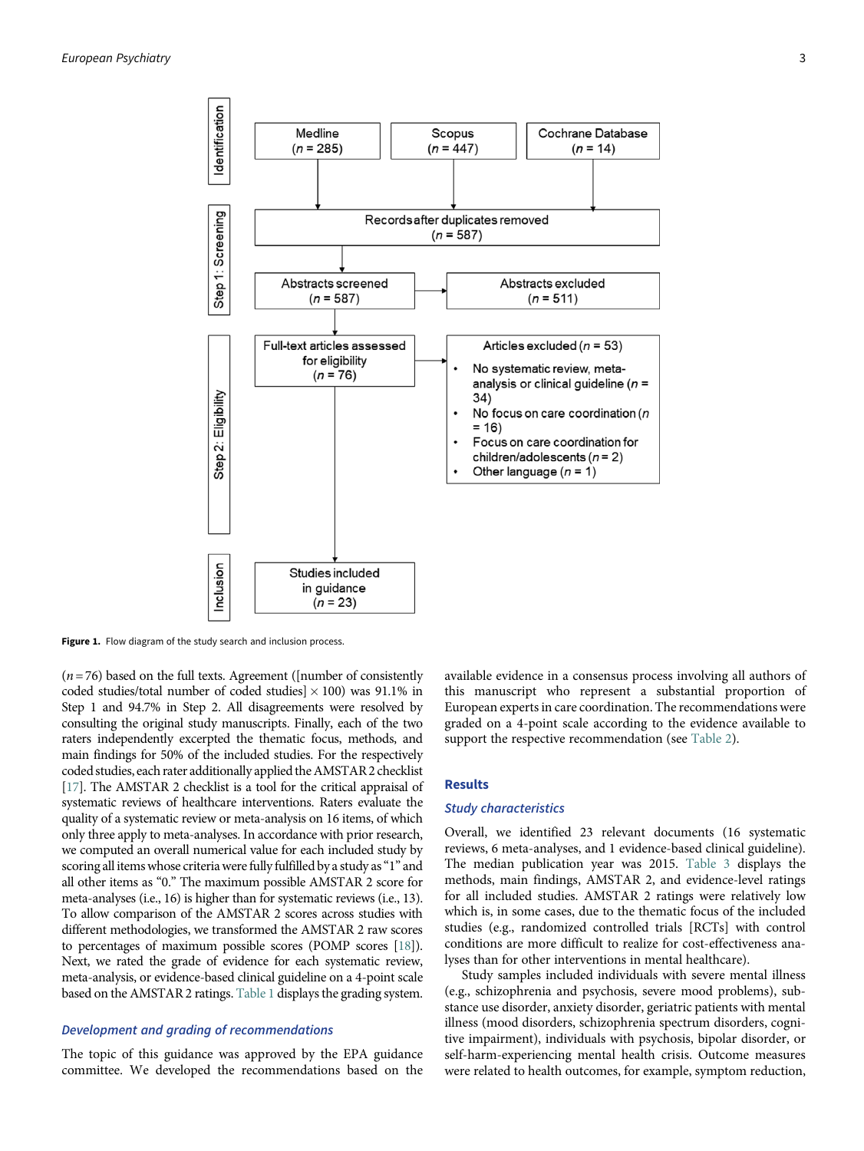<span id="page-2-0"></span>

Figure 1. Flow diagram of the study search and inclusion process.

 $(n= 76)$  based on the full texts. Agreement ([number of consistently coded studies/total number of coded studies]  $\times$  100) was 91.1% in Step 1 and 94.7% in Step 2. All disagreements were resolved by consulting the original study manuscripts. Finally, each of the two raters independently excerpted the thematic focus, methods, and main findings for 50% of the included studies. For the respectively coded studies, each rater additionally applied the AMSTAR 2 checklist [[17](#page-8-16)]. The AMSTAR 2 checklist is a tool for the critical appraisal of systematic reviews of healthcare interventions. Raters evaluate the quality of a systematic review or meta-analysis on 16 items, of which only three apply to meta-analyses. In accordance with prior research, we computed an overall numerical value for each included study by scoring all items whose criteria were fully fulfilled by a study as"1" and all other items as "0." The maximum possible AMSTAR 2 score for meta-analyses (i.e., 16) is higher than for systematic reviews (i.e., 13). To allow comparison of the AMSTAR 2 scores across studies with different methodologies, we transformed the AMSTAR 2 raw scores to percentages of maximum possible scores (POMP scores [[18](#page-8-17)]). Next, we rated the grade of evidence for each systematic review, meta-analysis, or evidence-based clinical guideline on a 4-point scale based on the AMSTAR 2 ratings. [Table 1](#page-3-0) displays the grading system.

## Development and grading of recommendations

The topic of this guidance was approved by the EPA guidance committee. We developed the recommendations based on the

available evidence in a consensus process involving all authors of this manuscript who represent a substantial proportion of European experts in care coordination. The recommendations were graded on a 4-point scale according to the evidence available to support the respective recommendation (see [Table 2\)](#page-3-1).

## Results

## Study characteristics

Overall, we identified 23 relevant documents (16 systematic reviews, 6 meta-analyses, and 1 evidence-based clinical guideline). The median publication year was 2015. [Table 3](#page-4-0) displays the methods, main findings, AMSTAR 2, and evidence-level ratings for all included studies. AMSTAR 2 ratings were relatively low which is, in some cases, due to the thematic focus of the included studies (e.g., randomized controlled trials [RCTs] with control conditions are more difficult to realize for cost-effectiveness analyses than for other interventions in mental healthcare).

Study samples included individuals with severe mental illness (e.g., schizophrenia and psychosis, severe mood problems), substance use disorder, anxiety disorder, geriatric patients with mental illness (mood disorders, schizophrenia spectrum disorders, cognitive impairment), individuals with psychosis, bipolar disorder, or self-harm-experiencing mental health crisis. Outcome measures were related to health outcomes, for example, symptom reduction,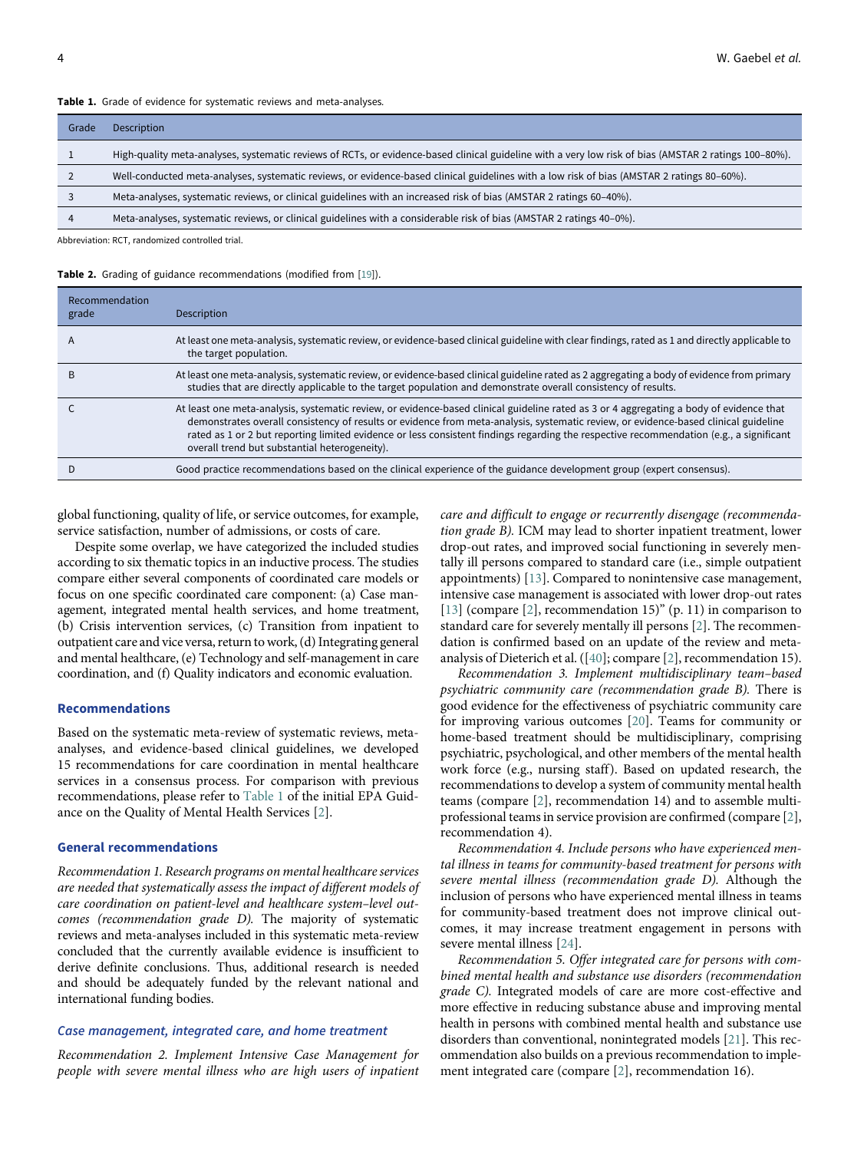#### Table 1. Grade of evidence for systematic reviews and meta-analyses.

| Grade | Description                                                                                                                                           |
|-------|-------------------------------------------------------------------------------------------------------------------------------------------------------|
|       | High-quality meta-analyses, systematic reviews of RCTs, or evidence-based clinical guideline with a very low risk of bias (AMSTAR 2 ratings 100–80%). |
|       | Well-conducted meta-analyses, systematic reviews, or evidence-based clinical guidelines with a low risk of bias (AMSTAR 2 ratings 80-60%).            |
|       | Meta-analyses, systematic reviews, or clinical guidelines with an increased risk of bias (AMSTAR 2 ratings 60-40%).                                   |
|       | Meta-analyses, systematic reviews, or clinical guidelines with a considerable risk of bias (AMSTAR 2 ratings 40–0%).                                  |

<span id="page-3-0"></span>Abbreviation: RCT, randomized controlled trial.

<span id="page-3-1"></span>Table 2. Grading of guidance recommendations (modified from [\[19](#page-8-19)]).

| Recommendation<br>grade | Description                                                                                                                                                                                                                                                                                                                                                                                                                                                                |
|-------------------------|----------------------------------------------------------------------------------------------------------------------------------------------------------------------------------------------------------------------------------------------------------------------------------------------------------------------------------------------------------------------------------------------------------------------------------------------------------------------------|
| $\mathsf{A}$            | At least one meta-analysis, systematic review, or evidence-based clinical guideline with clear findings, rated as 1 and directly applicable to<br>the target population.                                                                                                                                                                                                                                                                                                   |
| B                       | At least one meta-analysis, systematic review, or evidence-based clinical guideline rated as 2 aggregating a body of evidence from primary<br>studies that are directly applicable to the target population and demonstrate overall consistency of results.                                                                                                                                                                                                                |
|                         | At least one meta-analysis, systematic review, or evidence-based clinical guideline rated as 3 or 4 aggregating a body of evidence that<br>demonstrates overall consistency of results or evidence from meta-analysis, systematic review, or evidence-based clinical guideline<br>rated as 1 or 2 but reporting limited evidence or less consistent findings regarding the respective recommendation (e.g., a significant<br>overall trend but substantial heterogeneity). |
|                         | Good practice recommendations based on the clinical experience of the guidance development group (expert consensus).                                                                                                                                                                                                                                                                                                                                                       |

global functioning, quality of life, or service outcomes, for example, service satisfaction, number of admissions, or costs of care.

Despite some overlap, we have categorized the included studies according to six thematic topics in an inductive process. The studies compare either several components of coordinated care models or focus on one specific coordinated care component: (a) Case management, integrated mental health services, and home treatment, (b) Crisis intervention services, (c) Transition from inpatient to outpatient care and vice versa, return to work, (d) Integrating general and mental healthcare, (e) Technology and self-management in care coordination, and (f) Quality indicators and economic evaluation.

## Recommendations

Based on the systematic meta-review of systematic reviews, metaanalyses, and evidence-based clinical guidelines, we developed 15 recommendations for care coordination in mental healthcare services in a consensus process. For comparison with previous recommendations, please refer to [Table 1](#page-3-0) of the initial EPA Guidance on the Quality of Mental Health Services [\[2\]](#page-8-1).

## General recommendations

Recommendation 1. Research programs on mental healthcare services are needed that systematically assess the impact of different models of care coordination on patient-level and healthcare system–level outcomes (recommendation grade D). The majority of systematic reviews and meta-analyses included in this systematic meta-review concluded that the currently available evidence is insufficient to derive definite conclusions. Thus, additional research is needed and should be adequately funded by the relevant national and international funding bodies.

## Case management, integrated care, and home treatment

Recommendation 2. Implement Intensive Case Management for people with severe mental illness who are high users of inpatient care and difficult to engage or recurrently disengage (recommendation grade B). ICM may lead to shorter inpatient treatment, lower drop-out rates, and improved social functioning in severely mentally ill persons compared to standard care (i.e., simple outpatient appointments) [[13\]](#page-8-12). Compared to nonintensive case management, intensive case management is associated with lower drop-out rates [[13](#page-8-12)] (compare [\[2\]](#page-8-1), recommendation 15)" (p. 11) in comparison to standard care for severely mentally ill persons [\[2\]](#page-8-1). The recommendation is confirmed based on an update of the review and metaanalysis of Dieterich et al. ([\[40](#page-9-0)]; compare [\[2\]](#page-8-1), recommendation 15).

Recommendation 3. Implement multidisciplinary team–based psychiatric community care (recommendation grade B). There is good evidence for the effectiveness of psychiatric community care for improving various outcomes [[20\]](#page-8-18). Teams for community or home-based treatment should be multidisciplinary, comprising psychiatric, psychological, and other members of the mental health work force (e.g., nursing staff). Based on updated research, the recommendations to develop a system of community mental health teams (compare [\[2](#page-8-1)], recommendation 14) and to assemble multiprofessional teams in service provision are confirmed (compare [[2](#page-8-1)], recommendation 4).

Recommendation 4. Include persons who have experienced mental illness in teams for community-based treatment for persons with severe mental illness (recommendation grade D). Although the inclusion of persons who have experienced mental illness in teams for community-based treatment does not improve clinical outcomes, it may increase treatment engagement in persons with severe mental illness [[24\]](#page-9-1).

Recommendation 5. Offer integrated care for persons with combined mental health and substance use disorders (recommendation grade C). Integrated models of care are more cost-effective and more effective in reducing substance abuse and improving mental health in persons with combined mental health and substance use disorders than conventional, nonintegrated models [\[21](#page-9-2)]. This recommendation also builds on a previous recommendation to implement integrated care (compare [\[2\]](#page-8-1), recommendation 16).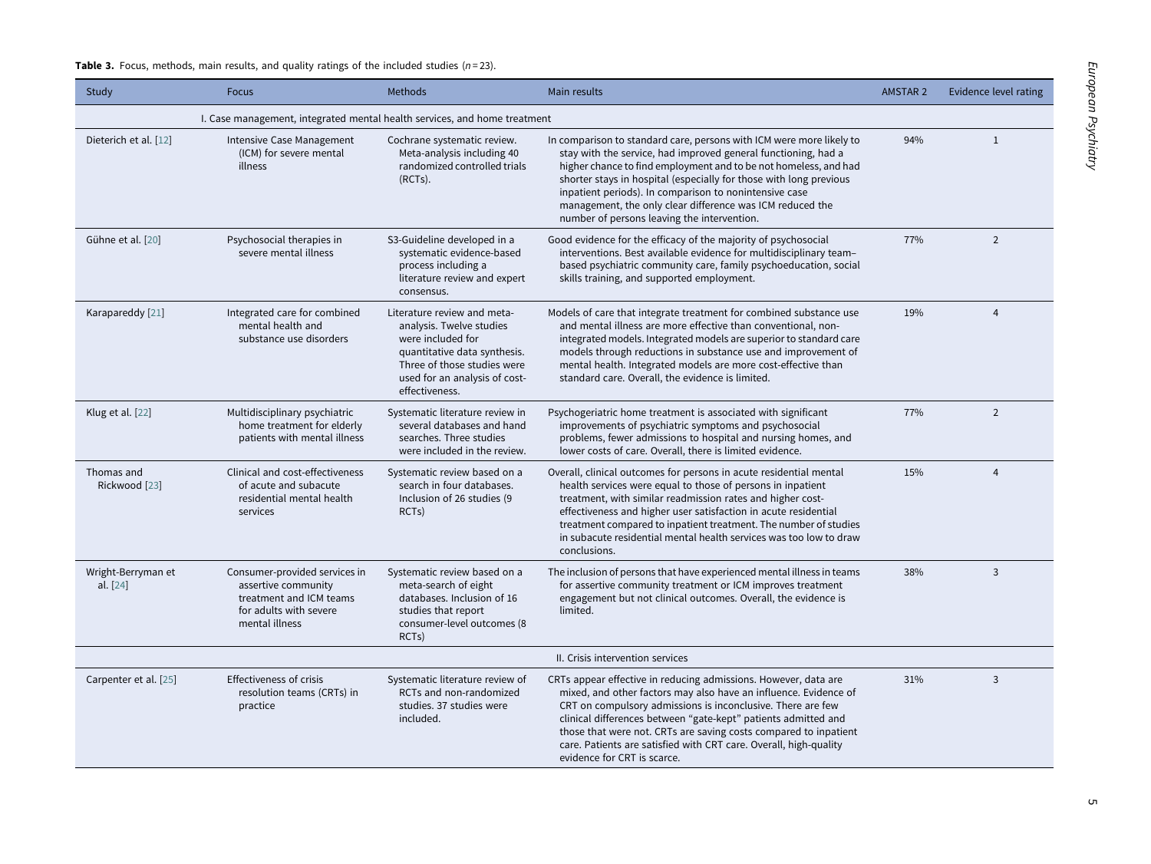Table 3. Focus, methods, main results, and quality ratings of the included studies (n=23).

<span id="page-4-0"></span>

| Study                            | <b>Focus</b>                                                                                                                | <b>Methods</b>                                                                                                                                                                                 | Main results                                                                                                                                                                                                                                                                                                                                                                                                                                           | <b>AMSTAR 2</b> | <b>Evidence level rating</b> |
|----------------------------------|-----------------------------------------------------------------------------------------------------------------------------|------------------------------------------------------------------------------------------------------------------------------------------------------------------------------------------------|--------------------------------------------------------------------------------------------------------------------------------------------------------------------------------------------------------------------------------------------------------------------------------------------------------------------------------------------------------------------------------------------------------------------------------------------------------|-----------------|------------------------------|
|                                  | I. Case management, integrated mental health services, and home treatment                                                   |                                                                                                                                                                                                |                                                                                                                                                                                                                                                                                                                                                                                                                                                        |                 |                              |
| Dieterich et al. [12]            | Intensive Case Management<br>(ICM) for severe mental<br>illness                                                             | Cochrane systematic review.<br>Meta-analysis including 40<br>randomized controlled trials<br>(RCTs).                                                                                           | In comparison to standard care, persons with ICM were more likely to<br>stay with the service, had improved general functioning, had a<br>higher chance to find employment and to be not homeless, and had<br>shorter stays in hospital (especially for those with long previous<br>inpatient periods). In comparison to nonintensive case<br>management, the only clear difference was ICM reduced the<br>number of persons leaving the intervention. | 94%             | $\mathbf{1}$                 |
| Gühne et al. [20]                | Psychosocial therapies in<br>severe mental illness                                                                          | S3-Guideline developed in a<br>systematic evidence-based<br>process including a<br>literature review and expert<br>consensus.                                                                  | Good evidence for the efficacy of the majority of psychosocial<br>interventions. Best available evidence for multidisciplinary team-<br>based psychiatric community care, family psychoeducation, social<br>skills training, and supported employment.                                                                                                                                                                                                 | 77%             | $\overline{2}$               |
| Karapareddy [21]                 | Integrated care for combined<br>mental health and<br>substance use disorders                                                | Literature review and meta-<br>analysis. Twelve studies<br>were included for<br>quantitative data synthesis.<br>Three of those studies were<br>used for an analysis of cost-<br>effectiveness. | Models of care that integrate treatment for combined substance use<br>and mental illness are more effective than conventional, non-<br>integrated models. Integrated models are superior to standard care<br>models through reductions in substance use and improvement of<br>mental health. Integrated models are more cost-effective than<br>standard care. Overall, the evidence is limited.                                                        | 19%             | $\overline{4}$               |
| Klug et al. [22]                 | Multidisciplinary psychiatric<br>home treatment for elderly<br>patients with mental illness                                 | Systematic literature review in<br>several databases and hand<br>searches. Three studies<br>were included in the review.                                                                       | Psychogeriatric home treatment is associated with significant<br>improvements of psychiatric symptoms and psychosocial<br>problems, fewer admissions to hospital and nursing homes, and<br>lower costs of care. Overall, there is limited evidence.                                                                                                                                                                                                    | 77%             | $\overline{2}$               |
| Thomas and<br>Rickwood [23]      | Clinical and cost-effectiveness<br>of acute and subacute<br>residential mental health<br>services                           | Systematic review based on a<br>search in four databases.<br>Inclusion of 26 studies (9<br>RCT <sub>s</sub> )                                                                                  | Overall, clinical outcomes for persons in acute residential mental<br>health services were equal to those of persons in inpatient<br>treatment, with similar readmission rates and higher cost-<br>effectiveness and higher user satisfaction in acute residential<br>treatment compared to inpatient treatment. The number of studies<br>in subacute residential mental health services was too low to draw<br>conclusions.                           | 15%             | $\overline{4}$               |
| Wright-Berryman et<br>al. $[24]$ | Consumer-provided services in<br>assertive community<br>treatment and ICM teams<br>for adults with severe<br>mental illness | Systematic review based on a<br>meta-search of eight<br>databases. Inclusion of 16<br>studies that report<br>consumer-level outcomes (8<br>RCT <sub>s</sub> )                                  | The inclusion of persons that have experienced mental illness in teams<br>for assertive community treatment or ICM improves treatment<br>engagement but not clinical outcomes. Overall, the evidence is<br>limited.                                                                                                                                                                                                                                    | 38%             | 3                            |
|                                  |                                                                                                                             |                                                                                                                                                                                                | II. Crisis intervention services                                                                                                                                                                                                                                                                                                                                                                                                                       |                 |                              |
| Carpenter et al. [25]            | <b>Effectiveness of crisis</b><br>resolution teams (CRTs) in<br>practice                                                    | Systematic literature review of<br>RCTs and non-randomized<br>studies. 37 studies were<br>included.                                                                                            | CRTs appear effective in reducing admissions. However, data are<br>mixed, and other factors may also have an influence. Evidence of<br>CRT on compulsory admissions is inconclusive. There are few<br>clinical differences between "gate-kept" patients admitted and<br>those that were not. CRTs are saving costs compared to inpatient<br>care. Patients are satisfied with CRT care. Overall, high-quality<br>evidence for CRT is scarce.           | 31%             | 3                            |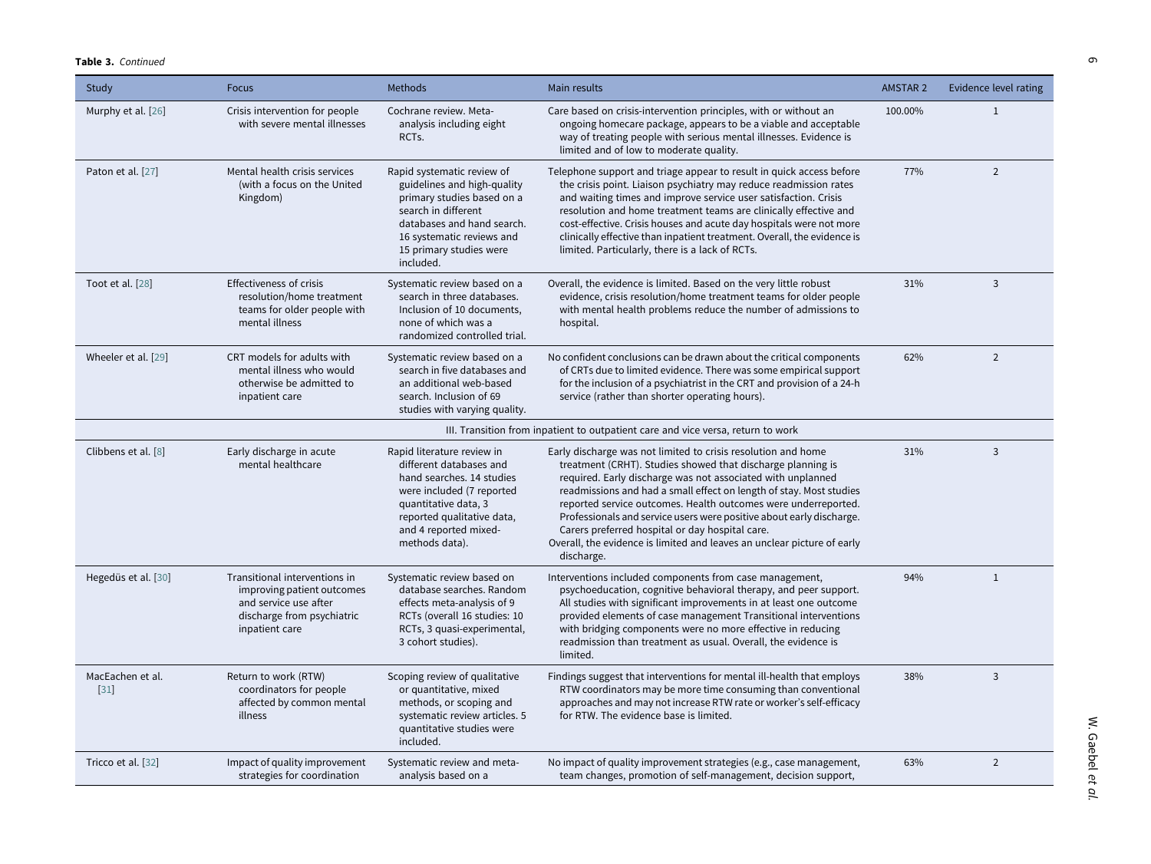#### Table 3. Continued

| Study                      | <b>Focus</b>                                                                                                                         | <b>Methods</b>                                                                                                                                                                                                    | Main results                                                                                                                                                                                                                                                                                                                                                                                                                                                                                                                                             | <b>AMSTAR 2</b> | <b>Evidence level rating</b> |
|----------------------------|--------------------------------------------------------------------------------------------------------------------------------------|-------------------------------------------------------------------------------------------------------------------------------------------------------------------------------------------------------------------|----------------------------------------------------------------------------------------------------------------------------------------------------------------------------------------------------------------------------------------------------------------------------------------------------------------------------------------------------------------------------------------------------------------------------------------------------------------------------------------------------------------------------------------------------------|-----------------|------------------------------|
| Murphy et al. [26]         | Crisis intervention for people<br>with severe mental illnesses                                                                       | Cochrane review. Meta-<br>analysis including eight<br>RCT <sub>s</sub> .                                                                                                                                          | Care based on crisis-intervention principles, with or without an<br>ongoing homecare package, appears to be a viable and acceptable<br>way of treating people with serious mental illnesses. Evidence is<br>limited and of low to moderate quality.                                                                                                                                                                                                                                                                                                      | 100.00%         | $\mathbf{1}$                 |
| Paton et al. [27]          | Mental health crisis services<br>(with a focus on the United<br>Kingdom)                                                             | Rapid systematic review of<br>guidelines and high-quality<br>primary studies based on a<br>search in different<br>databases and hand search.<br>16 systematic reviews and<br>15 primary studies were<br>included. | Telephone support and triage appear to result in quick access before<br>the crisis point. Liaison psychiatry may reduce readmission rates<br>and waiting times and improve service user satisfaction. Crisis<br>resolution and home treatment teams are clinically effective and<br>cost-effective. Crisis houses and acute day hospitals were not more<br>clinically effective than inpatient treatment. Overall, the evidence is<br>limited. Particularly, there is a lack of RCTs.                                                                    | 77%             | 2                            |
| Toot et al. [28]           | <b>Effectiveness of crisis</b><br>resolution/home treatment<br>teams for older people with<br>mental illness                         | Systematic review based on a<br>search in three databases.<br>Inclusion of 10 documents.<br>none of which was a<br>randomized controlled trial.                                                                   | Overall, the evidence is limited. Based on the very little robust<br>evidence, crisis resolution/home treatment teams for older people<br>with mental health problems reduce the number of admissions to<br>hospital.                                                                                                                                                                                                                                                                                                                                    | 31%             | $\overline{3}$               |
| Wheeler et al. [29]        | CRT models for adults with<br>mental illness who would<br>otherwise be admitted to<br>inpatient care                                 | Systematic review based on a<br>search in five databases and<br>an additional web-based<br>search. Inclusion of 69<br>studies with varying quality.                                                               | No confident conclusions can be drawn about the critical components<br>of CRTs due to limited evidence. There was some empirical support<br>for the inclusion of a psychiatrist in the CRT and provision of a 24-h<br>service (rather than shorter operating hours).                                                                                                                                                                                                                                                                                     | 62%             | $\overline{2}$               |
|                            |                                                                                                                                      |                                                                                                                                                                                                                   | III. Transition from inpatient to outpatient care and vice versa, return to work                                                                                                                                                                                                                                                                                                                                                                                                                                                                         |                 |                              |
| Clibbens et al. [8]        | Early discharge in acute<br>mental healthcare                                                                                        | Rapid literature review in<br>different databases and<br>hand searches. 14 studies<br>were included (7 reported<br>quantitative data, 3<br>reported qualitative data,<br>and 4 reported mixed-<br>methods data).  | Early discharge was not limited to crisis resolution and home<br>treatment (CRHT). Studies showed that discharge planning is<br>required. Early discharge was not associated with unplanned<br>readmissions and had a small effect on length of stay. Most studies<br>reported service outcomes. Health outcomes were underreported.<br>Professionals and service users were positive about early discharge.<br>Carers preferred hospital or day hospital care.<br>Overall, the evidence is limited and leaves an unclear picture of early<br>discharge. | 31%             | $\overline{3}$               |
| Hegedüs et al. [30]        | Transitional interventions in<br>improving patient outcomes<br>and service use after<br>discharge from psychiatric<br>inpatient care | Systematic review based on<br>database searches. Random<br>effects meta-analysis of 9<br>RCTs (overall 16 studies: 10<br>RCTs, 3 quasi-experimental,<br>3 cohort studies).                                        | Interventions included components from case management,<br>psychoeducation, cognitive behavioral therapy, and peer support.<br>All studies with significant improvements in at least one outcome<br>provided elements of case management Transitional interventions<br>with bridging components were no more effective in reducing<br>readmission than treatment as usual. Overall, the evidence is<br>limited.                                                                                                                                          | 94%             | $1\,$                        |
| MacEachen et al.<br>$[31]$ | Return to work (RTW)<br>coordinators for people<br>affected by common mental<br>illness                                              | Scoping review of qualitative<br>or quantitative, mixed<br>methods, or scoping and<br>systematic review articles. 5<br>quantitative studies were<br>included.                                                     | Findings suggest that interventions for mental ill-health that employs<br>RTW coordinators may be more time consuming than conventional<br>approaches and may not increase RTW rate or worker's self-efficacy<br>for RTW. The evidence base is limited.                                                                                                                                                                                                                                                                                                  | 38%             | $\overline{3}$               |
| Tricco et al. [32]         | Impact of quality improvement<br>strategies for coordination                                                                         | Systematic review and meta-<br>analysis based on a                                                                                                                                                                | No impact of quality improvement strategies (e.g., case management,<br>team changes, promotion of self-management, decision support,                                                                                                                                                                                                                                                                                                                                                                                                                     | 63%             | $\overline{2}$               |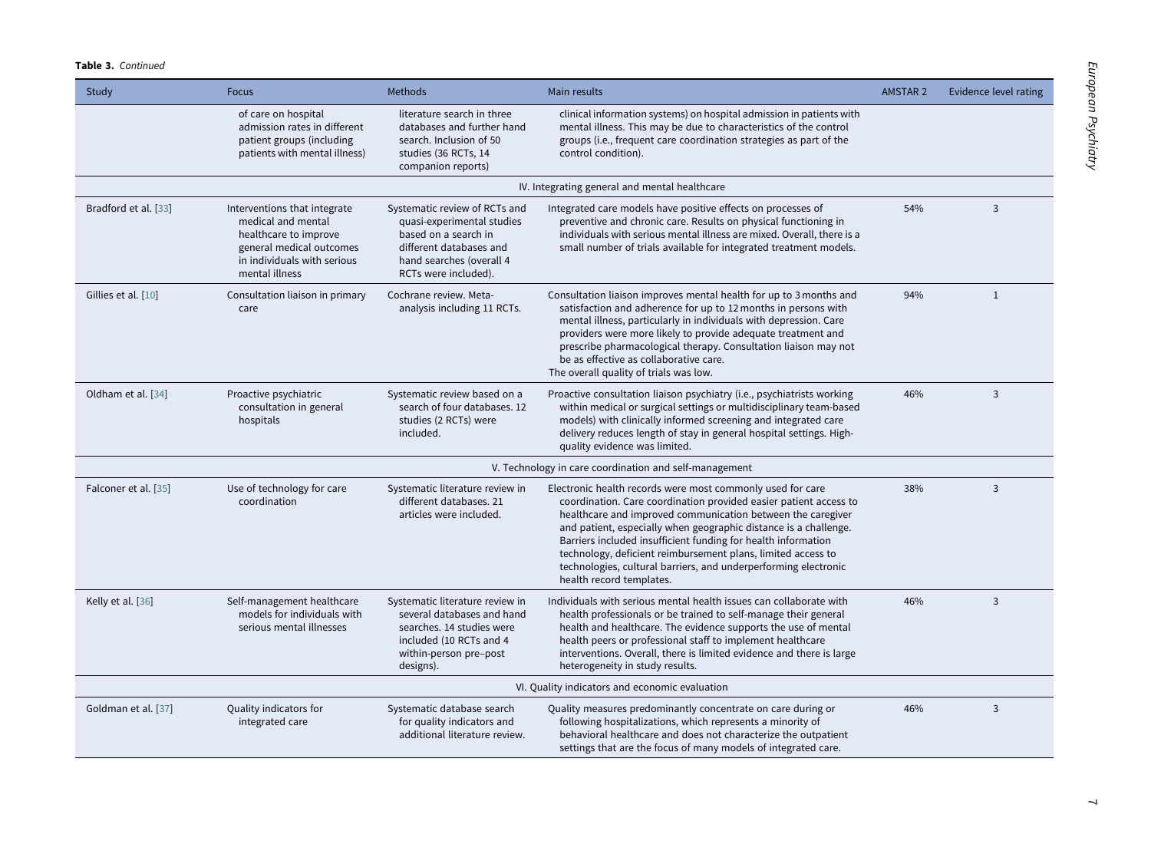| Study                | <b>Focus</b>                                                                                                                                             | Methods                                                                                                                                                            | Main results                                                                                                                                                                                                                                                                                                                                                                                                                                                                                       | <b>AMSTAR 2</b> | Evidence level rating |
|----------------------|----------------------------------------------------------------------------------------------------------------------------------------------------------|--------------------------------------------------------------------------------------------------------------------------------------------------------------------|----------------------------------------------------------------------------------------------------------------------------------------------------------------------------------------------------------------------------------------------------------------------------------------------------------------------------------------------------------------------------------------------------------------------------------------------------------------------------------------------------|-----------------|-----------------------|
|                      | of care on hospital<br>admission rates in different<br>patient groups (including<br>patients with mental illness)                                        | literature search in three<br>databases and further hand<br>search. Inclusion of 50<br>studies (36 RCTs, 14<br>companion reports)                                  | clinical information systems) on hospital admission in patients with<br>mental illness. This may be due to characteristics of the control<br>groups (i.e., frequent care coordination strategies as part of the<br>control condition).                                                                                                                                                                                                                                                             |                 |                       |
|                      |                                                                                                                                                          |                                                                                                                                                                    | IV. Integrating general and mental healthcare                                                                                                                                                                                                                                                                                                                                                                                                                                                      |                 |                       |
| Bradford et al. [33] | Interventions that integrate<br>medical and mental<br>healthcare to improve<br>general medical outcomes<br>in individuals with serious<br>mental illness | Systematic review of RCTs and<br>quasi-experimental studies<br>based on a search in<br>different databases and<br>hand searches (overall 4<br>RCTs were included). | Integrated care models have positive effects on processes of<br>preventive and chronic care. Results on physical functioning in<br>individuals with serious mental illness are mixed. Overall, there is a<br>small number of trials available for integrated treatment models.                                                                                                                                                                                                                     | 54%             | 3                     |
| Gillies et al. [10]  | Consultation liaison in primary<br>care                                                                                                                  | Cochrane review. Meta-<br>analysis including 11 RCTs.                                                                                                              | Consultation liaison improves mental health for up to 3 months and<br>satisfaction and adherence for up to 12 months in persons with<br>mental illness, particularly in individuals with depression. Care<br>providers were more likely to provide adequate treatment and<br>prescribe pharmacological therapy. Consultation liaison may not<br>be as effective as collaborative care.<br>The overall quality of trials was low.                                                                   | 94%             | $\mathbf{1}$          |
| Oldham et al. [34]   | Proactive psychiatric<br>consultation in general<br>hospitals                                                                                            | Systematic review based on a<br>search of four databases. 12<br>studies (2 RCTs) were<br>included.                                                                 | Proactive consultation liaison psychiatry (i.e., psychiatrists working<br>within medical or surgical settings or multidisciplinary team-based<br>models) with clinically informed screening and integrated care<br>delivery reduces length of stay in general hospital settings. High-<br>quality evidence was limited.                                                                                                                                                                            | 46%             | 3                     |
|                      |                                                                                                                                                          |                                                                                                                                                                    | V. Technology in care coordination and self-management                                                                                                                                                                                                                                                                                                                                                                                                                                             |                 |                       |
| Falconer et al. [35] | Use of technology for care<br>coordination                                                                                                               | Systematic literature review in<br>different databases. 21<br>articles were included.                                                                              | Electronic health records were most commonly used for care<br>coordination. Care coordination provided easier patient access to<br>healthcare and improved communication between the caregiver<br>and patient, especially when geographic distance is a challenge.<br>Barriers included insufficient funding for health information<br>technology, deficient reimbursement plans, limited access to<br>technologies, cultural barriers, and underperforming electronic<br>health record templates. | 38%             | $\overline{3}$        |
| Kelly et al. [36]    | Self-management healthcare<br>models for individuals with<br>serious mental illnesses                                                                    | Systematic literature review in<br>several databases and hand<br>searches. 14 studies were<br>included (10 RCTs and 4<br>within-person pre-post<br>designs).       | Individuals with serious mental health issues can collaborate with<br>health professionals or be trained to self-manage their general<br>health and healthcare. The evidence supports the use of mental<br>health peers or professional staff to implement healthcare<br>interventions. Overall, there is limited evidence and there is large<br>heterogeneity in study results.                                                                                                                   | 46%             | 3                     |
|                      |                                                                                                                                                          |                                                                                                                                                                    | VI. Quality indicators and economic evaluation                                                                                                                                                                                                                                                                                                                                                                                                                                                     |                 |                       |
| Goldman et al. [37]  | Quality indicators for<br>integrated care                                                                                                                | Systematic database search<br>for quality indicators and<br>additional literature review.                                                                          | Quality measures predominantly concentrate on care during or<br>following hospitalizations, which represents a minority of<br>behavioral healthcare and does not characterize the outpatient<br>settings that are the focus of many models of integrated care.                                                                                                                                                                                                                                     | 46%             | $\overline{3}$        |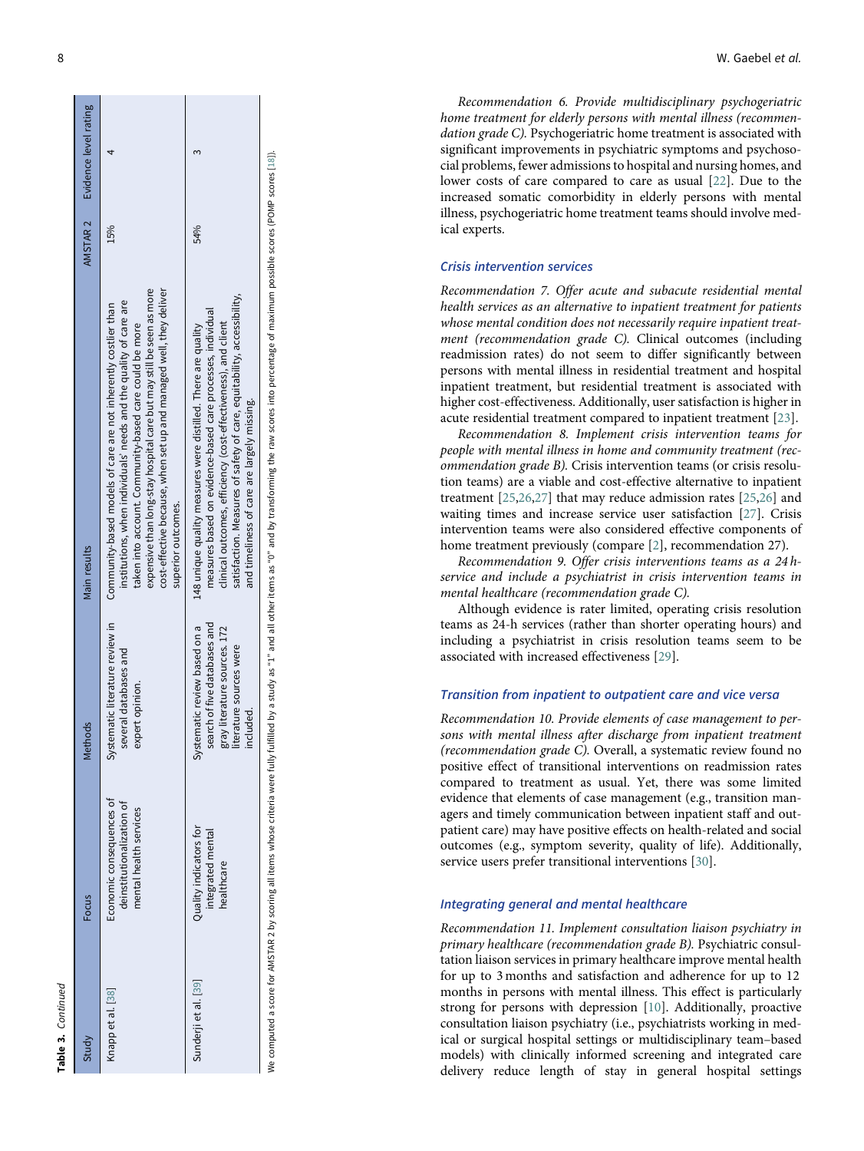| ć |
|---|
|   |
|   |
|   |
| a |
|   |
|   |
|   |

| Study                | Focus                                                                           | Methods                                                                                                                                    | Main results                                                                                                                                                                                                                                                                                                                                                       | AMSTAR 2 | Evidence level rating |
|----------------------|---------------------------------------------------------------------------------|--------------------------------------------------------------------------------------------------------------------------------------------|--------------------------------------------------------------------------------------------------------------------------------------------------------------------------------------------------------------------------------------------------------------------------------------------------------------------------------------------------------------------|----------|-----------------------|
| Knapp et al. [38]    | Economic consequences of<br>deinstitutionalization of<br>mental health services | Systematic literature review in<br>several databases and<br>expert opinion.                                                                | expensive than long-stay hospital care but may still be seen as more<br>cost-effective because, when set up and managed well, they deliver<br>institutions, when individuals' needs and the quality of care are<br>Community-based models of care are not inherently costlier than<br>taken into account. Community-based care could be more<br>superior outcomes. | 15%      |                       |
| Sunderji et al. [39] | Quality indicators for<br>integrated mental<br>healthcare                       | search of five databases and<br>Systematic review based on a<br>literature sources. 172<br>literature sources were<br>included.<br>ll Vela | satisfaction. Measures of safety of care, equitability, accessibility,<br>measures based on evidence-based care processes, individual<br>clinical outcomes, efficiency (cost-effectiveness), and client<br>148 unique quality measures were distilled. There are quality<br>and timeliness of care are largely missing.                                            | 54%      |                       |

Recommendation 6. Provide multidisciplinary psychogeriatric home treatment for elderly persons with mental illness (recommendation grade C). Psychogeriatric home treatment is associated with significant improvements in psychiatric symptoms and psychosocial problems, fewer admissions to hospital and nursing homes, and lower costs of care compared to care as usual [[22\]](#page-9-18). Due to the increased somatic comorbidity in elderly persons with mental illness, psychogeriatric home treatment teams should involve medical experts.

## Crisis intervention services

Recommendation 7. Offer acute and subacute residential mental health services as an alternative to inpatient treatment for patients whose mental condition does not necessarily require inpatient treatment (recommendation grade C). Clinical outcomes (including readmission rates) do not seem to differ significantly between persons with mental illness in residential treatment and hospital inpatient treatment, but residential treatment is associated with higher cost-effectiveness. Additionally, user satisfaction is higher in acute residential treatment compared to inpatient treatment [\[23](#page-9-19)].

Recommendation 8. Implement crisis intervention teams for people with mental illness in home and community treatment (recommendation grade B). Crisis intervention teams (or crisis resolution teams) are a viable and cost-effective alternative to inpatient treatment [\[25](#page-9-20) ,[26](#page-9-21) ,[27\]](#page-9-22) that may reduce admission rates [[25](#page-9-20) ,[26\]](#page-9-21) and waiting times and increase service user satisfaction [[27\]](#page-9-22). Crisis intervention teams were also considered effective components of home treatment previously (compare [ [2\]](#page-8-1), recommendation 27).

Recommendation 9. Offer crisis interventions teams as a 24 hservice and include a psychiatrist in crisis intervention teams in mental healthcare (recommendation grade C).

Although evidence is rater limited, operating crisis resolution teams as 24-h services (rather than shorter operating hours) and including a psychiatrist in crisis resolution teams seem to be associated with increased effectiveness [[29](#page-9-23)].

## Transition from inpatient to outpatient care and vice versa

Recommendation 10. Provide elements of case management to persons with mental illness after discharge from inpatient treatment (recommendation grade C). Overall, a systematic review found no positive effect of transitional interventions on readmission rates compared to treatment as usual. Yet, there was some limited evidence that elements of case management (e.g., transition managers and timely communication between inpatient staff and outpatient care) may have positive effects on health-related and social outcomes (e.g., symptom severity, quality of life). Additionally, service users prefer transitional interventions [[30\]](#page-9-24).

## Integrating general and mental healthcare

Recommendation 11. Implement consultation liaison psychiatry in primary healthcare (recommendation grade B). Psychiatric consultation liaison services in primary healthcare improve mental health for up to 3 months and satisfaction and adherence for up to 12 months in persons with mental illness. This effect is particularly strong for persons with depression [[10\]](#page-8-9). Additionally, proactive consultation liaison psychiatry (i.e., psychiatrists working in medical or surgical hospital settings or multidisciplinary team–based models) with clinically informed screening and integrated care delivery reduce length of stay in general hospital settings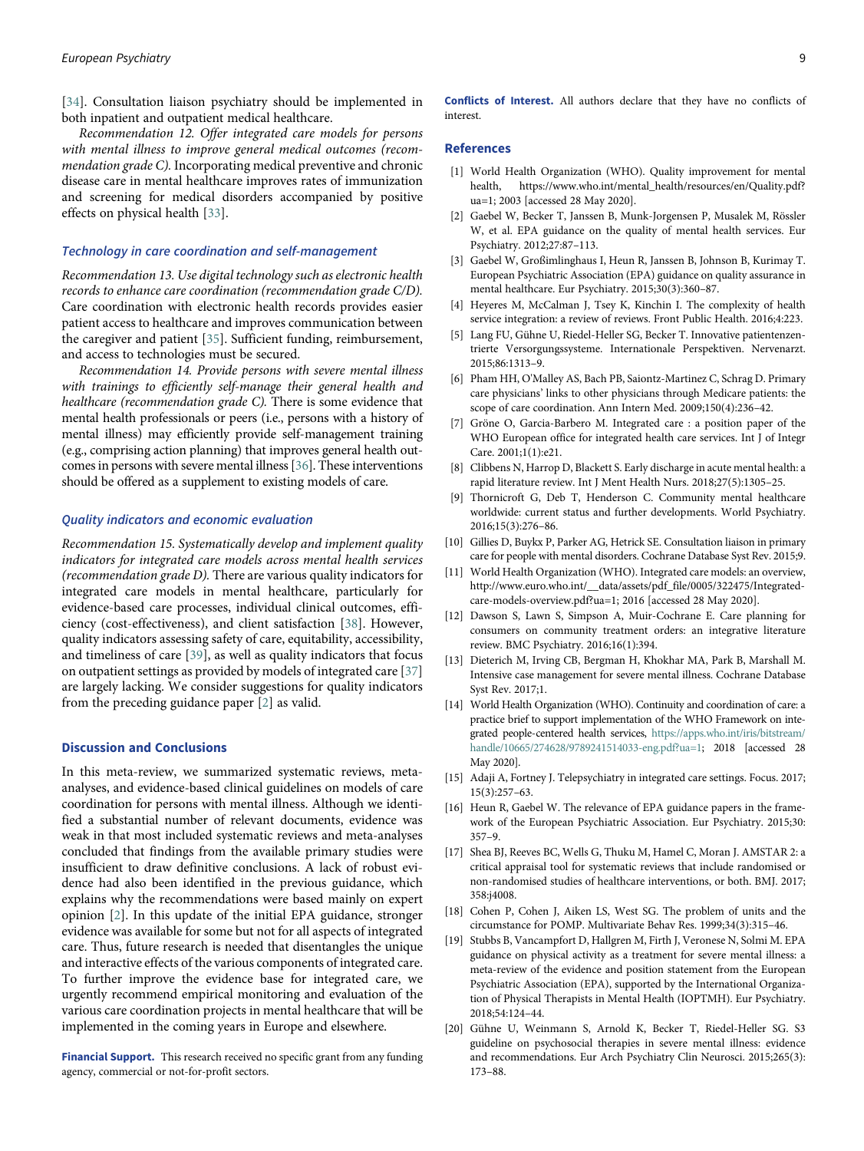<span id="page-8-21"></span>[[34\]](#page-9-27). Consultation liaison psychiatry should be implemented in both inpatient and outpatient medical healthcare.

<span id="page-8-0"></span>Recommendation 12. Offer integrated care models for persons with mental illness to improve general medical outcomes (recommendation grade C). Incorporating medical preventive and chronic disease care in mental healthcare improves rates of immunization and screening for medical disorders accompanied by positive effects on physical health [\[33](#page-9-28)].

## <span id="page-8-2"></span><span id="page-8-1"></span>Technology in care coordination and self-management

<span id="page-8-3"></span>Recommendation 13. Use digital technology such as electronic health records to enhance care coordination (recommendation grade C/D). Care coordination with electronic health records provides easier patient access to healthcare and improves communication between the caregiver and patient [\[35](#page-9-29)]. Sufficient funding, reimbursement, and access to technologies must be secured.

<span id="page-8-6"></span><span id="page-8-5"></span><span id="page-8-4"></span>Recommendation 14. Provide persons with severe mental illness with trainings to efficiently self-manage their general health and healthcare (recommendation grade C). There is some evidence that mental health professionals or peers (i.e., persons with a history of mental illness) may efficiently provide self-management training (e.g., comprising action planning) that improves general health outcomes in persons with severe mental illness [[36\]](#page-9-22). These interventions should be offered as a supplement to existing models of care.

## <span id="page-8-9"></span><span id="page-8-8"></span><span id="page-8-7"></span>Quality indicators and economic evaluation

<span id="page-8-12"></span><span id="page-8-11"></span><span id="page-8-10"></span>Recommendation 15. Systematically develop and implement quality indicators for integrated care models across mental health services (recommendation grade D). There are various quality indicators for integrated care models in mental healthcare, particularly for evidence-based care processes, individual clinical outcomes, efficiency (cost-effectiveness), and client satisfaction [[38\]](#page-9-25). However, quality indicators assessing safety of care, equitability, accessibility, and timeliness of care [[39\]](#page-9-26), as well as quality indicators that focus on outpatient settings as provided by models of integrated care [\[37](#page-9-30)] are largely lacking. We consider suggestions for quality indicators from the preceding guidance paper [[2](#page-8-1)] as valid.

## <span id="page-8-13"></span>Discussion and Conclusions

<span id="page-8-17"></span><span id="page-8-16"></span><span id="page-8-15"></span><span id="page-8-14"></span>In this meta-review, we summarized systematic reviews, metaanalyses, and evidence-based clinical guidelines on models of care coordination for persons with mental illness. Although we identified a substantial number of relevant documents, evidence was weak in that most included systematic reviews and meta-analyses concluded that findings from the available primary studies were insufficient to draw definitive conclusions. A lack of robust evidence had also been identified in the previous guidance, which explains why the recommendations were based mainly on expert opinion [[2](#page-8-1)]. In this update of the initial EPA guidance, stronger evidence was available for some but not for all aspects of integrated care. Thus, future research is needed that disentangles the unique and interactive effects of the various components of integrated care. To further improve the evidence base for integrated care, we urgently recommend empirical monitoring and evaluation of the various care coordination projects in mental healthcare that will be implemented in the coming years in Europe and elsewhere.

<span id="page-8-19"></span><span id="page-8-18"></span>Financial Support. This research received no specific grant from any funding agency, commercial or not-for-profit sectors.

<span id="page-8-23"></span><span id="page-8-22"></span><span id="page-8-20"></span>Conflicts of Interest. All authors declare that they have no conflicts of interest.

#### References

- [1] World Health Organization (WHO). Quality improvement for mental health, https://www.who.int/mental\_health/resources/en/Quality.pdf? ua=1; 2003 [accessed 28 May 2020].
- [2] Gaebel W, Becker T, Janssen B, Munk-Jorgensen P, Musalek M, Rössler W, et al. EPA guidance on the quality of mental health services. Eur Psychiatry. 2012;27:87–113.
- [3] Gaebel W, Großimlinghaus I, Heun R, Janssen B, Johnson B, Kurimay T. European Psychiatric Association (EPA) guidance on quality assurance in mental healthcare. Eur Psychiatry. 2015;30(3):360–87.
- [4] Heyeres M, McCalman J, Tsey K, Kinchin I. The complexity of health service integration: a review of reviews. Front Public Health. 2016;4:223.
- [5] Lang FU, Gühne U, Riedel-Heller SG, Becker T. Innovative patientenzentrierte Versorgungssysteme. Internationale Perspektiven. Nervenarzt. 2015;86:1313–9.
- [6] Pham HH, O'Malley AS, Bach PB, Saiontz-Martinez C, Schrag D. Primary care physicians' links to other physicians through Medicare patients: the scope of care coordination. Ann Intern Med. 2009;150(4):236–42.
- [7] Gröne O, Garcia-Barbero M. Integrated care : a position paper of the WHO European office for integrated health care services. Int J of Integr Care. 2001;1(1):e21.
- Clibbens N, Harrop D, Blackett S. Early discharge in acute mental health: a rapid literature review. Int J Ment Health Nurs. 2018;27(5):1305–25.
- [9] Thornicroft G, Deb T, Henderson C. Community mental healthcare worldwide: current status and further developments. World Psychiatry. 2016;15(3):276–86.
- [10] Gillies D, Buykx P, Parker AG, Hetrick SE. Consultation liaison in primary care for people with mental disorders. Cochrane Database Syst Rev. 2015;9.
- [11] World Health Organization (WHO). Integrated care models: an overview, http://www.euro.who.int/\_\_data/assets/pdf\_file/0005/322475/Integratedcare-models-overview.pdf?ua=1; 2016 [accessed 28 May 2020].
- [12] Dawson S, Lawn S, Simpson A, Muir-Cochrane E. Care planning for consumers on community treatment orders: an integrative literature review. BMC Psychiatry. 2016;16(1):394.
- [13] Dieterich M, Irving CB, Bergman H, Khokhar MA, Park B, Marshall M. Intensive case management for severe mental illness. Cochrane Database Syst Rev. 2017;1.
- [14] World Health Organization (WHO). Continuity and coordination of care: a practice brief to support implementation of the WHO Framework on integrated people-centered health services, [https://apps.who.int/iris/bitstream/](https://apps.who.int/iris/bitstream/handle/10665/274628/9789241514033-eng.pdf?ua=1) [handle/10665/274628/9789241514033-eng.pdf?ua=1;](https://apps.who.int/iris/bitstream/handle/10665/274628/9789241514033-eng.pdf?ua=1) 2018 [accessed 28 May 2020].
- [15] Adaji A, Fortney J. Telepsychiatry in integrated care settings. Focus. 2017; 15(3):257–63.
- [16] Heun R, Gaebel W. The relevance of EPA guidance papers in the framework of the European Psychiatric Association. Eur Psychiatry. 2015;30: 357–9.
- [17] Shea BJ, Reeves BC, Wells G, Thuku M, Hamel C, Moran J. AMSTAR 2: a critical appraisal tool for systematic reviews that include randomised or non-randomised studies of healthcare interventions, or both. BMJ. 2017; 358:j4008.
- [18] Cohen P, Cohen J, Aiken LS, West SG. The problem of units and the circumstance for POMP. Multivariate Behav Res. 1999;34(3):315–46.
- [19] Stubbs B, Vancampfort D, Hallgren M, Firth J, Veronese N, Solmi M. EPA guidance on physical activity as a treatment for severe mental illness: a meta-review of the evidence and position statement from the European Psychiatric Association (EPA), supported by the International Organization of Physical Therapists in Mental Health (IOPTMH). Eur Psychiatry. 2018;54:124–44.
- [20] Gühne U, Weinmann S, Arnold K, Becker T, Riedel-Heller SG. S3 guideline on psychosocial therapies in severe mental illness: evidence and recommendations. Eur Arch Psychiatry Clin Neurosci. 2015;265(3): 173–88.